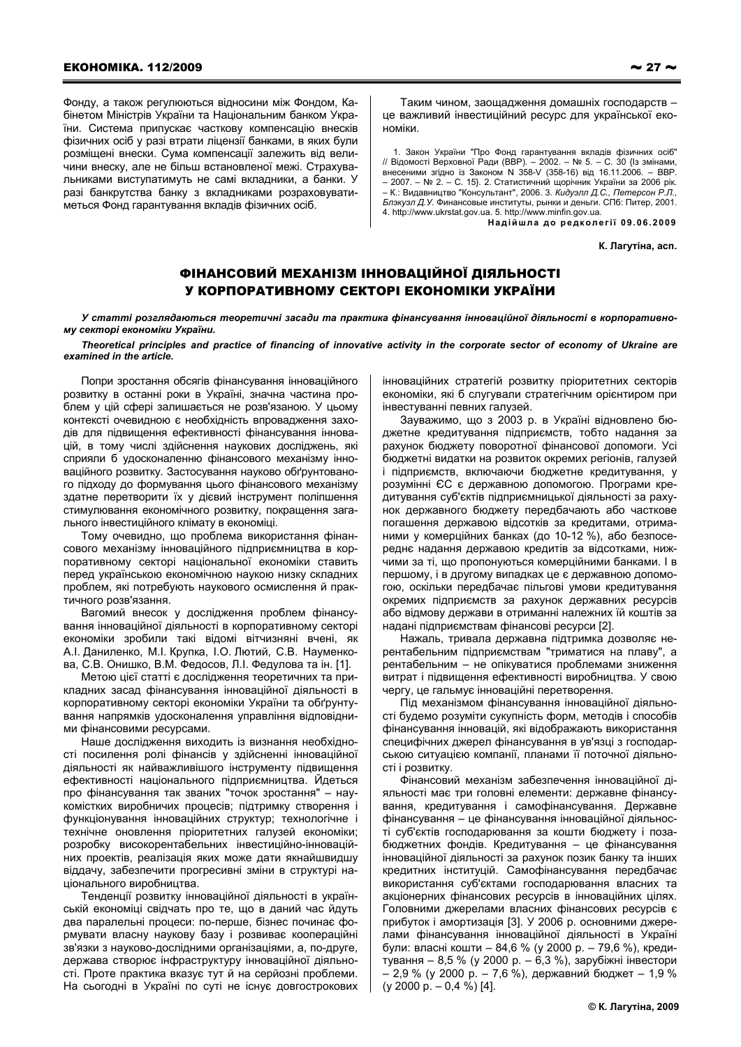Фонду, а також регулюються відносини між Фондом, Кабінетом Міністрів України та Національним банком України. Система припускає часткову компенсацію внесків фізичних осіб у разі втрати ліцензії банками, в яких були розміщені внески. Сума компенсації залежить від величини внеску, але не більш встановленої межі. Страхувальниками виступатимуть не самі вкладники, а банки. У разі банкрутства банку з вкладниками розраховуватиметься Фонд гарантування вкладів фізичних осіб.

Таким чином, заощадження домашніх господарств це важливий інвестиційний ресурс для української економіки.

1. Закон України "Про Фонд гарантування вкладів фізичних осіб" // Відомості Верховної Ради (ВВР). - 2002. - № 5. - С. 30 {Із змінами, внесеними згідно із Законом N 358-V (358-16) від 16.11.2006. – ВВР. — 2007. – № 2. – С. 15}. 2. Статистичний щорічник України за 2006 рік. - К.: Видавництво "Консультант", 2006. 3. Кидуэлл Д.С., Петерсон Р.Л., Блэкуэл Д.У. Финансовые институты, рынки и деньги. СПб: Питер, 2001. 4. http://www.ukrstat.gov.ua. 5. http://www.minfin.gov.ua.

Надійшла до редколегії 09.06.2009

К. Лагутіна, асп.

## ФІНАНСОВИЙ МЕХАНІЗМ ІННОВАЦІЙНОЇ ДІЯЛЬНОСТІ У КОРПОРАТИВНОМУ СЕКТОРІ ЕКОНОМІКИ УКРАЇНИ

У статті розглядаються теоретичні засади та практика фінансування інноваційної діяльності в корпоративному секторі економіки України.

Theoretical principles and practice of financing of innovative activity in the corporate sector of economy of Ukraine are examined in the article.

Попри зростання обсягів фінансування інноваційного розвитку в останні роки в Україні, значна частина проблем у цій сфері залишається не розв'язаною. У цьому контексті очевидною є необхідність впровадження заходів для підвищення ефективності фінансування інновацій. в тому числі здійснення наукових досліджень, які сприяли б удосконаленню фінансового механізму інноваційного розвитку. Застосування науково обґрунтованого підходу до формування цього фінансового механізму здатне перетворити їх у дієвий інструмент поліпшення стимулювання економічного розвитку, покращення загального інвестиційного клімату в економіці.

Тому очевидно, що проблема використання фінансового механізму інноваційного підприємництва в корпоративному секторі національної економіки ставить перед українською економічною наукою низку складних проблем, які потребують наукового осмислення й практичного розв'язання.

Вагомий внесок у дослідження проблем фінансування інноваційної діяльності в корпоративному секторі економіки зробили такі відомі вітчизняні вчені. як А.І. Даниленко, М.І. Крупка, І.О. Лютий, С.В. Науменкова, С.В. Онишко, В.М. Федосов, Л.І. Федулова та ін. [1].

Метою цієї статті є дослідження теоретичних та прикладних засад фінансування інноваційної діяльності в корпоративному секторі економіки України та обґрунтування напрямків удосконалення управління відповідними фінансовими ресурсами.

Наше дослідження виходить із визнання необхідності посилення ролі фінансів у здійсненні інноваційної діяльності як найважливішого інструменту підвищення ефективності національного підприємництва. Йдеться про фінансування так званих "точок зростання" - наукомістких виробничих процесів; підтримку створення і функціонування інноваційних структур; технологічне і технічне оновлення пріоритетних галузей економіки; розробку високорентабельних інвестиційно-інноваційних проектів, реалізація яких може дати якнайшвидшу віддачу, забезпечити прогресивні зміни в структурі національного виробництва.

Тенденції розвитку інноваційної діяльності в українській економіці свідчать про те, що в даний час йдуть два паралельні процеси: по-перше, бізнес починає формувати власну наукову базу і розвиває коопераційні зв'язки з науково-дослідними організаціями, а, по-друге, держава створює інфраструктуру інноваційної діяльності. Проте практика вказує тут й на серйозні проблеми. На сьогодні в Україні по суті не існує довгострокових інноваційних стратегій розвитку пріоритетних секторів економіки, які б слугували стратегічним орієнтиром при інвестуванні певних галузей.

Зауважимо, що з 2003 р. в Україні відновлено бюджетне кредитування підприємств. тобто надання за рахунок бюджету поворотної фінансової допомоги. Усі бюджетні видатки на розвиток окремих регіонів, галузей і підприємств. включаючи бюджетне кредитування, у розумінні ЄС є державною допомогою. Програми кредитування суб'єктів підприємницької діяльності за рахунок державного бюджету передбачають або часткове погашення державою відсотків за кредитами, отриманими у комерційних банках (до 10-12 %), або безпосереднє надання державою кредитів за відсотками, нижчими за ті, що пропонуються комерційними банками. І в першому, і в другому випадках це є державною допомогою, оскільки передбачає пільгові умови кредитування окремих підприємств за рахунок державних ресурсів або відмову держави в отриманні належних їй коштів за надані підприємствам фінансові ресурси [2].

Нажаль, тривала державна підтримка дозволяє нерентабельним підприємствам "триматися на плаву", а рентабельним - не опікуватися проблемами зниження витрат і підвищення ефективності виробництва. У свою чергу, це гальмує інноваційні перетворення.

Під механізмом фінансування інноваційної діяльності будемо розуміти сукупність форм, методів і способів фінансування інновацій, які відображають використання специфічних джерел фінансування в ув'язці з господарською ситуацією компанії, планами її поточної діяльності і розвитку.

Фінансовий механізм забезпечення інноваційної діяльності має три головні елементи: державне фінансування, кредитування і самофінансування. Державне фінансування - це фінансування інноваційної діяльності суб'єктів господарювання за кошти бюджету і позабюджетних фондів. Кредитування - це фінансування інноваційної діяльності за рахунок позик банку та інших кредитних інституцій. Самофінансування передбачає використання суб'єктами господарювання власних та акціонерних фінансових ресурсів в інноваційних цілях. Головними джерелами власних фінансових ресурсів є прибуток і амортизація [3]. У 2006 р. основними джерелами фінансування інноваційної діяльності в Україні були: власні кошти - 84,6 % (у 2000 р. - 79,6 %), кредитування - 8,5 % (у 2000 р. - 6,3 %), зарубіжні інвестори - 2,9 % (у 2000 р. – 7,6 %), державний бюджет – 1,9 % (y 2000 p.  $-$  0,4 %) [4].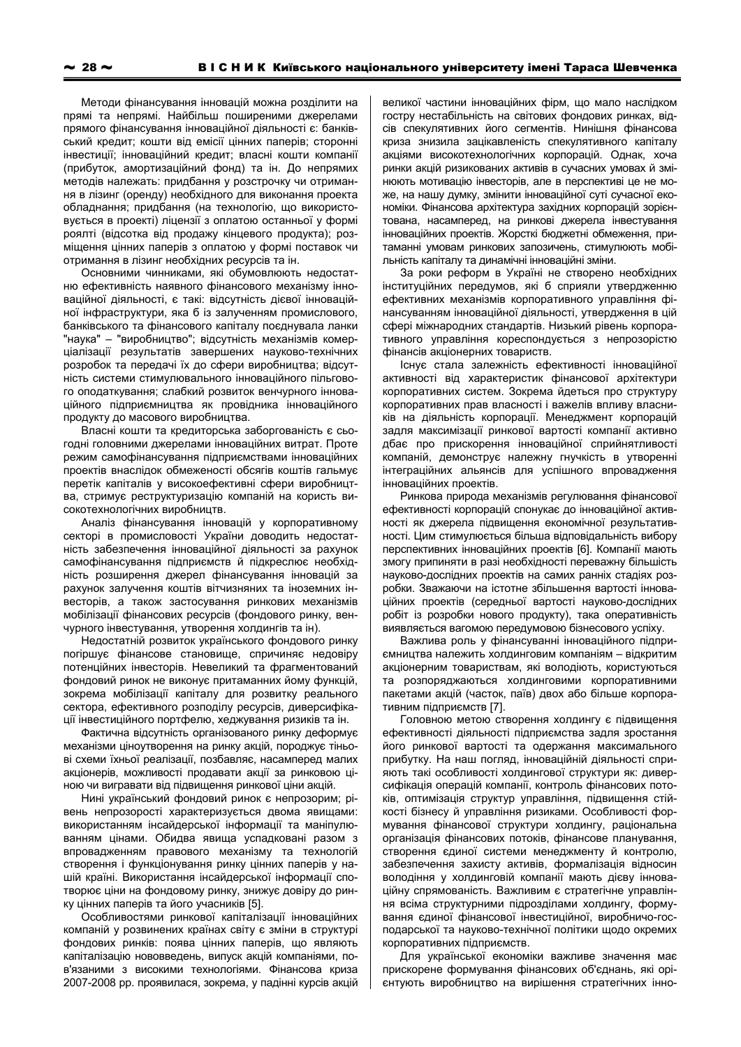Методи фінансування інновацій можна розділити на прямі та непрямі. Найбільш поширеними джерелами прямого фінансування інноваційної діяльності є: банківський кредит; кошти від емісії цінних паперів; сторонні інвестиції; інноваційний кредит; власні кошти компанії (прибуток, амортизаційний фонд) та ін. До непрямих методів належать: придбання у розстрочку чи отримання в лізинг (оренду) необхідного для виконання проекта обладнання; придбання (на технологію, що використовується в проекті) ліцензії з оплатою останньої у формі роялті (відсотка від продажу кінцевого продукта); розміщення цінних паперів з оплатою у формі поставок чи отримання в лізинг необхідних ресурсів та ін.

Основними чинниками, які обумовлюють недостатню ефективність наявного фінансового механізму інноваційної діяльності, є такі: відсутність дієвої інноваційної інфраструктури, яка б із залученням промислового, банківського та фінансового капіталу поєднувала ланки "наука" - "виробництво"; відсутність механізмів комерціалізації результатів завершених науково-технічних розробок та передачі їх до сфери виробництва; відсутність системи стимулювального інноваційного пільгового оподаткування: слабкий розвиток венчурного інноваційного підприємництва як провідника інноваційного продукту до масового виробництва.

Власні кошти та кредиторська заборгованість є сьогодні головними джерелами інноваційних витрат. Проте режим самофінансування підприємствами інноваційних проектів внаслідок обмеженості обсягів коштів гальмує перетік капіталів у високоефективні сфери виробництва, стримує реструктуризацію компаній на користь високотехнологічних виробництв.

Аналіз фінансування інновацій у корпоративному секторі в промисловості України доводить недостатність забезпечення інноваційної діяльності за рахунок самофінансування підприємств й підкреслює необхідність розширення джерел фінансування інновацій за рахунок залучення коштів вітчизняних та іноземних інвесторів, а також застосування ринкових механізмів мобілізації фінансових ресурсів (фондового ринку, венчурного інвестування, утворення холдингів та ін).

Недостатній розвиток українського фондового ринку погіршує фінансове становище, спричиняє недовіру потенційних інвесторів. Невеликий та фрагментований фондовий ринок не виконує притаманних йому функцій, зокрема мобілізації капіталу для розвитку реального сектора, ефективного розподілу ресурсів, диверсифікації інвестиційного портфелю, хеджування ризиків та ін.

Фактична відсутність організованого ринку деформує механізми ціноутворення на ринку акцій, породжує тіньові схеми їхньої реалізації, позбавляє, насамперед малих акціонерів, можливості продавати акції за ринковою ціною чи вигравати від підвищення ринкової ціни акцій.

Нині український фондовий ринок є непрозорим; рівень непрозорості характеризується двома явищами: використанням інсайдерської інформації та маніпулюванням цінами. Обидва явища успадковані разом з впровадженням правового механізму та технологій створення і функціонування ринку цінних паперів у нашій країні. Використання інсайдерської інформації спотворює ціни на фондовому ринку, знижує довіру до ринку цінних паперів та його учасників [5].

Особливостями ринкової капіталізації інноваційних компаній у розвинених країнах світу є зміни в структурі фондових ринків: поява цінних паперів, що являють капіталізацію нововведень, випуск акцій компаніями, пов'язаними з високими технологіями. Фінансова криза 2007-2008 рр. проявилася, зокрема, у падінні курсів акцій великої частини інноваційних фірм, що мало наслідком гостру нестабільність на світових фондових ринках, відсів спекулятивних його сегментів. Нинішня фінансова криза знизила зацікавленість спекулятивного капіталу акціями високотехнологічних корпорацій. Однак, хоча ринки акцій ризикованих активів в сучасних умовах й змінюють мотивацію інвесторів, але в перспективі це не може, на нашу думку, змінити інноваційної суті сучасної економіки. Фінансова архітектура західних корпорацій зорієнтована, насамперед, на ринкові джерела інвестування інноваційних проектів. Жорсткі бюджетні обмеження, притаманні умовам ринкових запозичень, стимулюють мобільність капіталу та динамічні інноваційні зміни.

За роки реформ в Україні не створено необхідних інституційних передумов, які б сприяли утвердженню ефективних механізмів корпоративного управління фінансуванням інноваційної діяльності, утвердження в цій сфері міжнародних стандартів. Низький рівень корпоративного управління кореспондується з непрозорістю фінансів акціонерних товариств.

Існує стала залежність ефективності інноваційної активності від характеристик фінансової архітектури корпоративних систем. Зокрема йдеться про структуру корпоративних прав власності і важелів впливу власників на діяльність корпорації. Менеджмент корпорацій задля максимізації ринкової вартості компанії активно дбає про прискорення інноваційної сприйнятливості компаній. демонструє належну гнучкість в утворенні інтеграційних альянсів для успішного впровадження інноваційних проектів.

Ринкова природа механізмів регулювання фінансової ефективності корпорацій спонукає до інноваційної активності як джерела підвищення економічної результативності. Цим стимулюється більша відповідальність вибору перспективних інноваційних проектів [6]. Компанії мають змогу припиняти в разі необхідності переважну більшість науково-дослідних проектів на самих ранніх стадіях розробки. Зважаючи на істотне збільшення вартості інноваційних проектів (середньої вартості науково-дослідних робіт із розробки нового продукту), така оперативність виявляється вагомою передумовою бізнесового успіху.

Важлива роль у фінансуванні інноваційного підприємництва належить холдинговим компаніям - відкритим акціонерним товариствам, які володіють, користуються та розпоряджаються холдинговими корпоративними пакетами акцій (часток, паїв) двох або більше корпоративним підприємств [7].

Головною метою створення холдингу є підвищення ефективності діяльності підприємства задля зростання його ринкової вартості та одержання максимального прибутку. На наш погляд, інноваційній діяльності сприяють такі особливості холдингової структури як: диверсифікація операцій компанії, контроль фінансових потоків, оптимізація структур управління, підвищення стійкості бізнесу й управління ризиками. Особливості формування фінансової структури холдингу, раціональна організація фінансових потоків, фінансове планування, створення єдиної системи менеджменту й контролю, забезпечення захисту активів, формалізація відносин володіння у холдинговій компанії мають дієву інноваційну спрямованість. Важливим є стратегічне управління всіма структурними підрозділами холдингу, формування єдиної фінансової інвестиційної, виробничо-господарської та науково-технічної політики щодо окремих корпоративних підприємств.

Для української економіки важливе значення має прискорене формування фінансових об'єднань, які орієнтують виробництво на вирішення стратегічних інно